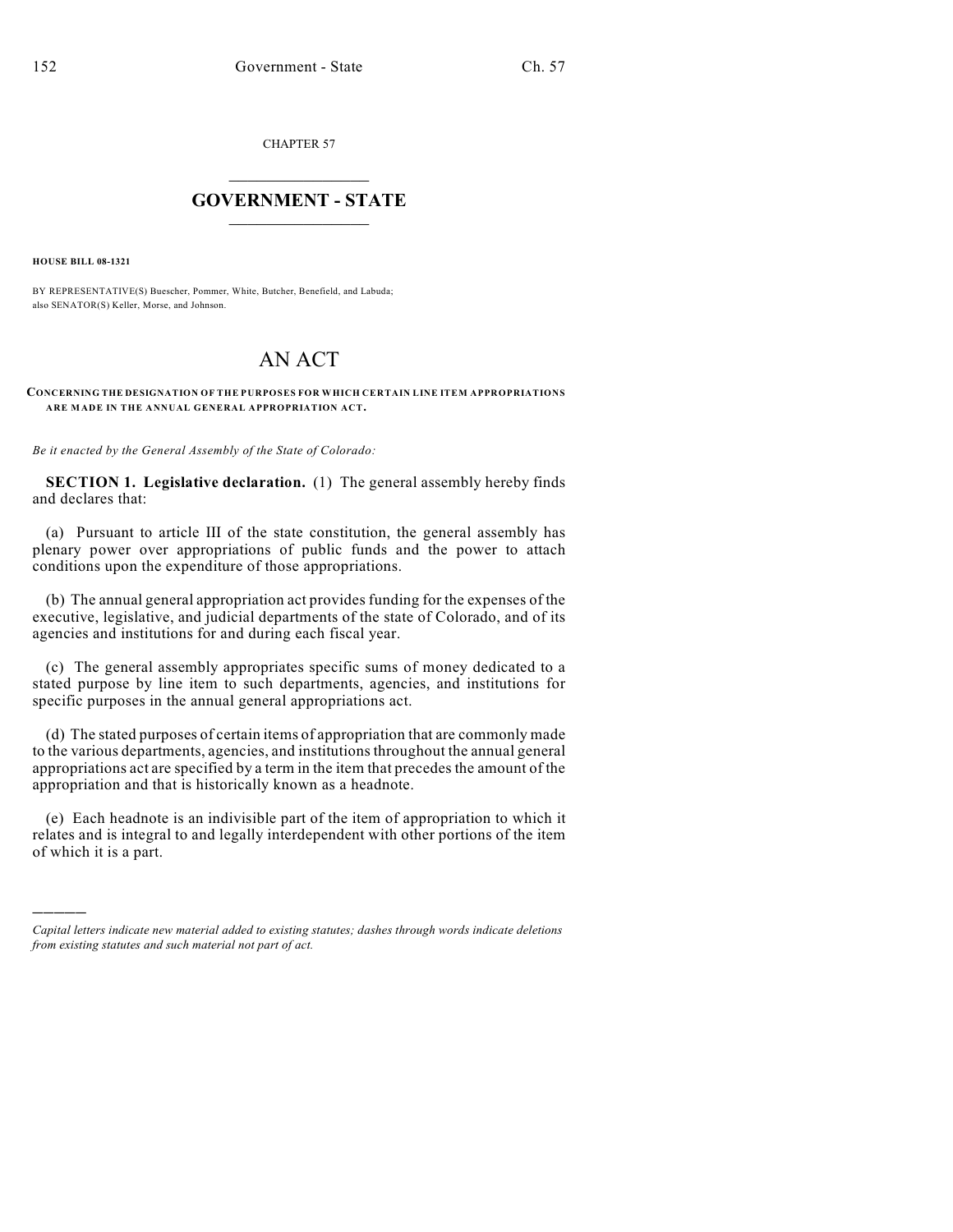CHAPTER 57

# $\mathcal{L}_\text{max}$  . The set of the set of the set of the set of the set of the set of the set of the set of the set of the set of the set of the set of the set of the set of the set of the set of the set of the set of the set **GOVERNMENT - STATE**  $\_$   $\_$   $\_$   $\_$   $\_$   $\_$   $\_$   $\_$

**HOUSE BILL 08-1321**

)))))

BY REPRESENTATIVE(S) Buescher, Pommer, White, Butcher, Benefield, and Labuda; also SENATOR(S) Keller, Morse, and Johnson.

# AN ACT

#### **CONCERNING THE DESIGNATION OF THE PURPOSES FOR WHICH CERTAIN LINE ITEM APPROPRIATIONS ARE MADE IN THE ANNUAL GENERAL APPROPRIATION ACT.**

*Be it enacted by the General Assembly of the State of Colorado:*

**SECTION 1. Legislative declaration.** (1) The general assembly hereby finds and declares that:

(a) Pursuant to article III of the state constitution, the general assembly has plenary power over appropriations of public funds and the power to attach conditions upon the expenditure of those appropriations.

(b) The annual general appropriation act provides funding for the expenses of the executive, legislative, and judicial departments of the state of Colorado, and of its agencies and institutions for and during each fiscal year.

(c) The general assembly appropriates specific sums of money dedicated to a stated purpose by line item to such departments, agencies, and institutions for specific purposes in the annual general appropriations act.

(d) The stated purposes of certain items of appropriation that are commonly made to the various departments, agencies, and institutions throughout the annual general appropriations act are specified by a term in the item that precedes the amount of the appropriation and that is historically known as a headnote.

(e) Each headnote is an indivisible part of the item of appropriation to which it relates and is integral to and legally interdependent with other portions of the item of which it is a part.

*Capital letters indicate new material added to existing statutes; dashes through words indicate deletions from existing statutes and such material not part of act.*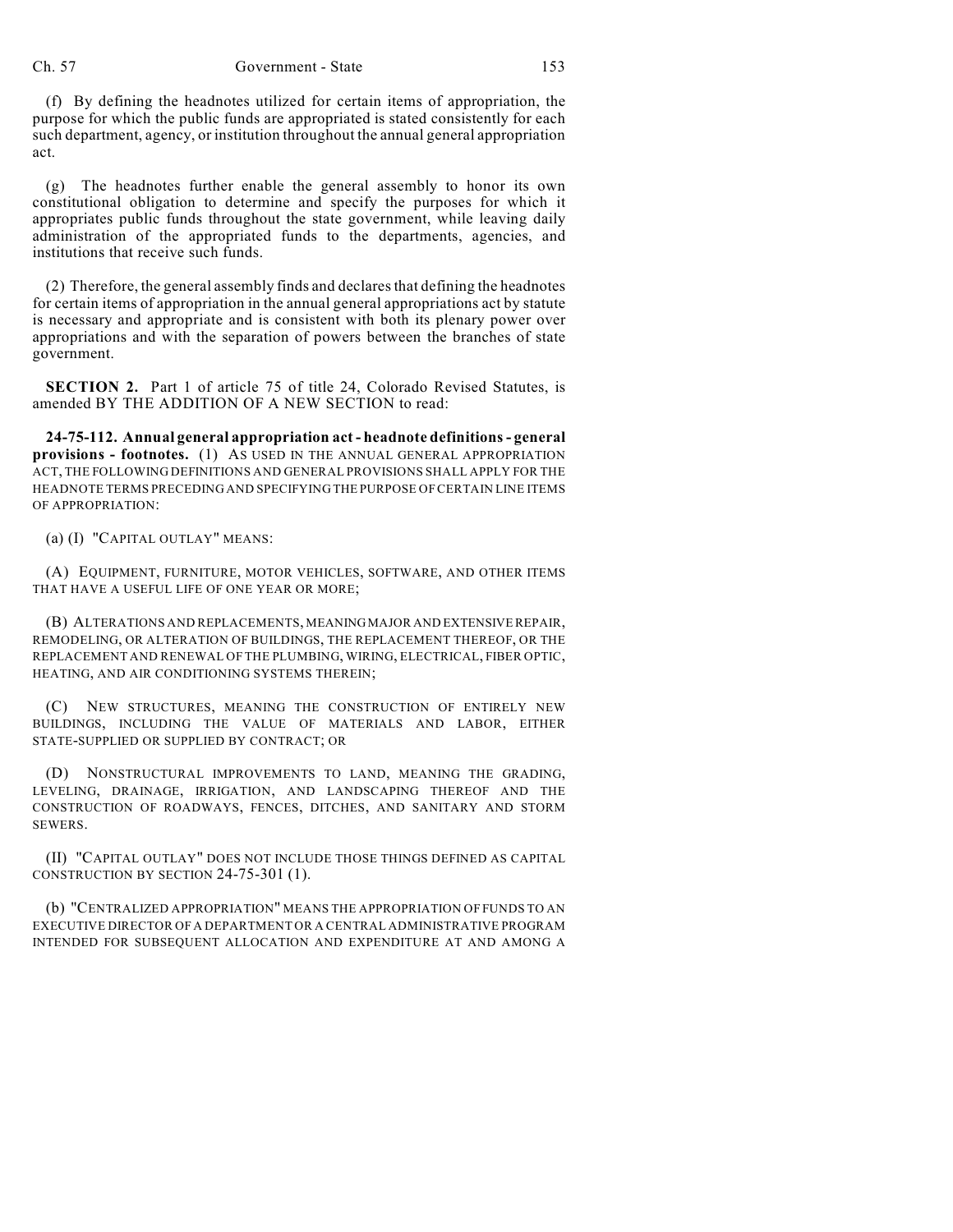## Ch. 57 Government - State 153

(f) By defining the headnotes utilized for certain items of appropriation, the purpose for which the public funds are appropriated is stated consistently for each such department, agency, or institution throughout the annual general appropriation act.

(g) The headnotes further enable the general assembly to honor its own constitutional obligation to determine and specify the purposes for which it appropriates public funds throughout the state government, while leaving daily administration of the appropriated funds to the departments, agencies, and institutions that receive such funds.

(2) Therefore, the general assembly finds and declares that defining the headnotes for certain items of appropriation in the annual general appropriations act by statute is necessary and appropriate and is consistent with both its plenary power over appropriations and with the separation of powers between the branches of state government.

**SECTION 2.** Part 1 of article 75 of title 24, Colorado Revised Statutes, is amended BY THE ADDITION OF A NEW SECTION to read:

**24-75-112. Annual general appropriation act - headnote definitions - general provisions - footnotes.** (1) AS USED IN THE ANNUAL GENERAL APPROPRIATION ACT, THE FOLLOWING DEFINITIONS AND GENERAL PROVISIONS SHALL APPLY FOR THE HEADNOTE TERMS PRECEDING AND SPECIFYING THE PURPOSE OF CERTAIN LINE ITEMS OF APPROPRIATION:

(a) (I) "CAPITAL OUTLAY" MEANS:

(A) EQUIPMENT, FURNITURE, MOTOR VEHICLES, SOFTWARE, AND OTHER ITEMS THAT HAVE A USEFUL LIFE OF ONE YEAR OR MORE;

(B) ALTERATIONS AND REPLACEMENTS, MEANING MAJOR AND EXTENSIVE REPAIR, REMODELING, OR ALTERATION OF BUILDINGS, THE REPLACEMENT THEREOF, OR THE REPLACEMENT AND RENEWAL OF THE PLUMBING, WIRING, ELECTRICAL, FIBER OPTIC, HEATING, AND AIR CONDITIONING SYSTEMS THEREIN;

(C) NEW STRUCTURES, MEANING THE CONSTRUCTION OF ENTIRELY NEW BUILDINGS, INCLUDING THE VALUE OF MATERIALS AND LABOR, EITHER STATE-SUPPLIED OR SUPPLIED BY CONTRACT; OR

(D) NONSTRUCTURAL IMPROVEMENTS TO LAND, MEANING THE GRADING, LEVELING, DRAINAGE, IRRIGATION, AND LANDSCAPING THEREOF AND THE CONSTRUCTION OF ROADWAYS, FENCES, DITCHES, AND SANITARY AND STORM SEWERS.

(II) "CAPITAL OUTLAY" DOES NOT INCLUDE THOSE THINGS DEFINED AS CAPITAL CONSTRUCTION BY SECTION 24-75-301 (1).

(b) "CENTRALIZED APPROPRIATION" MEANS THE APPROPRIATION OF FUNDS TO AN EXECUTIVE DIRECTOR OF A DEPARTMENT OR A CENTRAL ADMINISTRATIVE PROGRAM INTENDED FOR SUBSEQUENT ALLOCATION AND EXPENDITURE AT AND AMONG A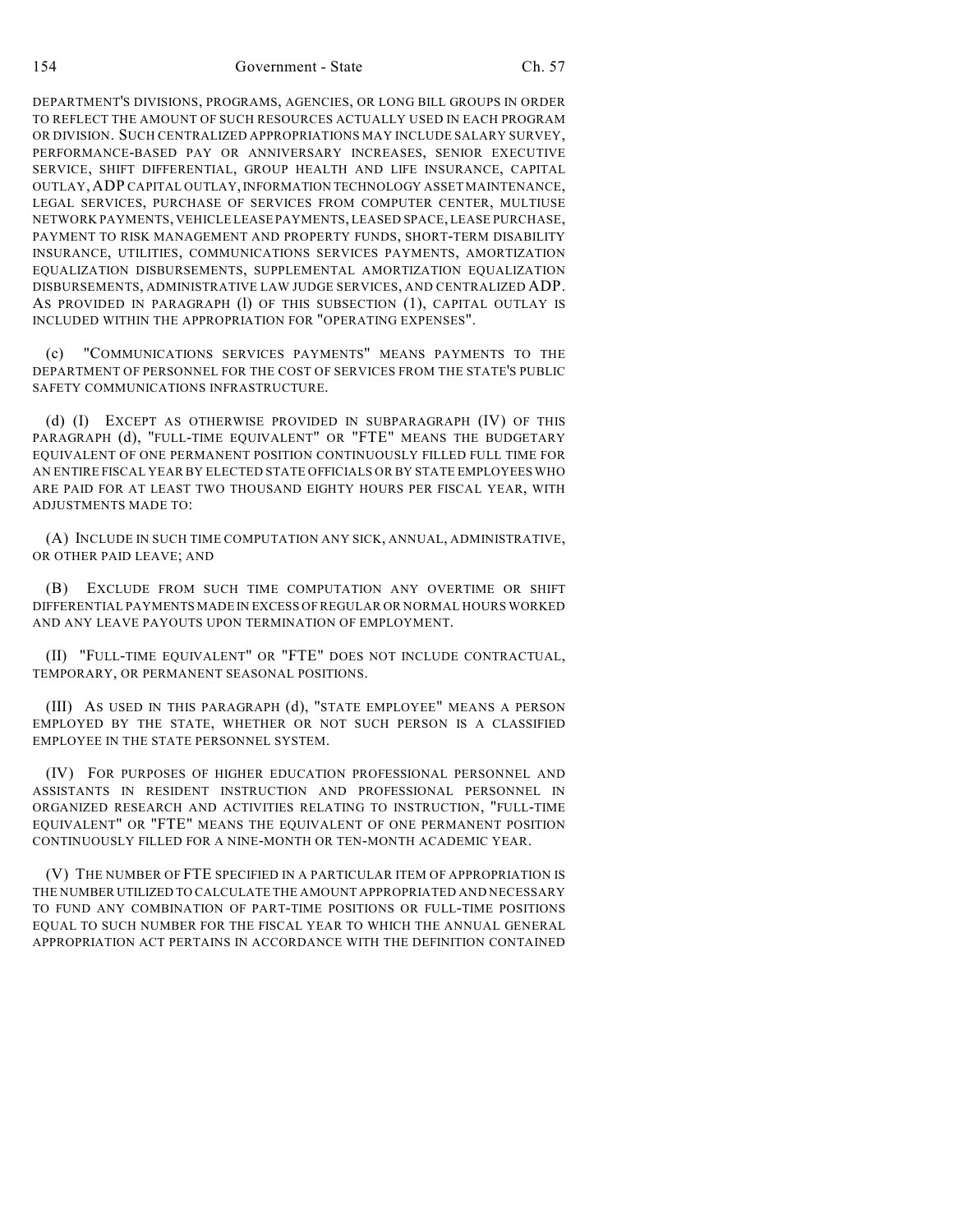DEPARTMENT'S DIVISIONS, PROGRAMS, AGENCIES, OR LONG BILL GROUPS IN ORDER TO REFLECT THE AMOUNT OF SUCH RESOURCES ACTUALLY USED IN EACH PROGRAM OR DIVISION. SUCH CENTRALIZED APPROPRIATIONS MAY INCLUDE SALARY SURVEY, PERFORMANCE-BASED PAY OR ANNIVERSARY INCREASES, SENIOR EXECUTIVE SERVICE, SHIFT DIFFERENTIAL, GROUP HEALTH AND LIFE INSURANCE, CAPITAL OUTLAY,ADP CAPITAL OUTLAY, INFORMATION TECHNOLOGY ASSET MAINTENANCE, LEGAL SERVICES, PURCHASE OF SERVICES FROM COMPUTER CENTER, MULTIUSE NETWORK PAYMENTS, VEHICLE LEASE PAYMENTS, LEASED SPACE, LEASE PURCHASE, PAYMENT TO RISK MANAGEMENT AND PROPERTY FUNDS, SHORT-TERM DISABILITY INSURANCE, UTILITIES, COMMUNICATIONS SERVICES PAYMENTS, AMORTIZATION EQUALIZATION DISBURSEMENTS, SUPPLEMENTAL AMORTIZATION EQUALIZATION DISBURSEMENTS, ADMINISTRATIVE LAW JUDGE SERVICES, AND CENTRALIZED ADP. AS PROVIDED IN PARAGRAPH (1) OF THIS SUBSECTION (1), CAPITAL OUTLAY IS INCLUDED WITHIN THE APPROPRIATION FOR "OPERATING EXPENSES".

(c) "COMMUNICATIONS SERVICES PAYMENTS" MEANS PAYMENTS TO THE DEPARTMENT OF PERSONNEL FOR THE COST OF SERVICES FROM THE STATE'S PUBLIC SAFETY COMMUNICATIONS INFRASTRUCTURE.

(d) (I) EXCEPT AS OTHERWISE PROVIDED IN SUBPARAGRAPH (IV) OF THIS PARAGRAPH (d), "FULL-TIME EQUIVALENT" OR "FTE" MEANS THE BUDGETARY EQUIVALENT OF ONE PERMANENT POSITION CONTINUOUSLY FILLED FULL TIME FOR AN ENTIRE FISCAL YEAR BY ELECTED STATE OFFICIALS OR BY STATE EMPLOYEES WHO ARE PAID FOR AT LEAST TWO THOUSAND EIGHTY HOURS PER FISCAL YEAR, WITH ADJUSTMENTS MADE TO:

(A) INCLUDE IN SUCH TIME COMPUTATION ANY SICK, ANNUAL, ADMINISTRATIVE, OR OTHER PAID LEAVE; AND

(B) EXCLUDE FROM SUCH TIME COMPUTATION ANY OVERTIME OR SHIFT DIFFERENTIAL PAYMENTS MADE IN EXCESS OF REGULAR OR NORMAL HOURS WORKED AND ANY LEAVE PAYOUTS UPON TERMINATION OF EMPLOYMENT.

(II) "FULL-TIME EQUIVALENT" OR "FTE" DOES NOT INCLUDE CONTRACTUAL, TEMPORARY, OR PERMANENT SEASONAL POSITIONS.

(III) AS USED IN THIS PARAGRAPH (d), "STATE EMPLOYEE" MEANS A PERSON EMPLOYED BY THE STATE, WHETHER OR NOT SUCH PERSON IS A CLASSIFIED EMPLOYEE IN THE STATE PERSONNEL SYSTEM.

(IV) FOR PURPOSES OF HIGHER EDUCATION PROFESSIONAL PERSONNEL AND ASSISTANTS IN RESIDENT INSTRUCTION AND PROFESSIONAL PERSONNEL IN ORGANIZED RESEARCH AND ACTIVITIES RELATING TO INSTRUCTION, "FULL-TIME EQUIVALENT" OR "FTE" MEANS THE EQUIVALENT OF ONE PERMANENT POSITION CONTINUOUSLY FILLED FOR A NINE-MONTH OR TEN-MONTH ACADEMIC YEAR.

(V) THE NUMBER OF FTE SPECIFIED IN A PARTICULAR ITEM OF APPROPRIATION IS THE NUMBER UTILIZED TO CALCULATE THE AMOUNT APPROPRIATED AND NECESSARY TO FUND ANY COMBINATION OF PART-TIME POSITIONS OR FULL-TIME POSITIONS EQUAL TO SUCH NUMBER FOR THE FISCAL YEAR TO WHICH THE ANNUAL GENERAL APPROPRIATION ACT PERTAINS IN ACCORDANCE WITH THE DEFINITION CONTAINED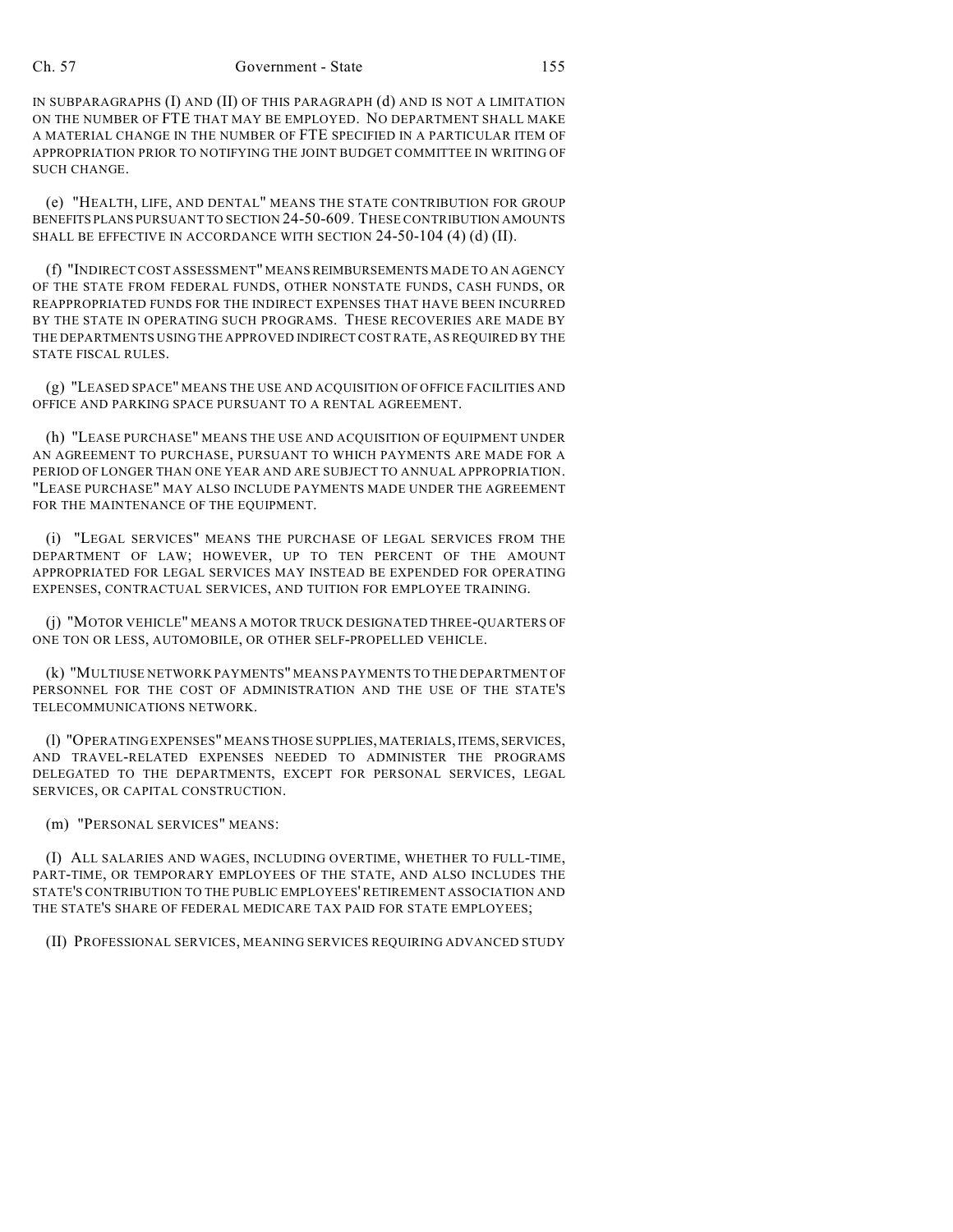### Ch. 57 Government - State 155

IN SUBPARAGRAPHS (I) AND (II) OF THIS PARAGRAPH (d) AND IS NOT A LIMITATION ON THE NUMBER OF FTE THAT MAY BE EMPLOYED. NO DEPARTMENT SHALL MAKE A MATERIAL CHANGE IN THE NUMBER OF FTE SPECIFIED IN A PARTICULAR ITEM OF APPROPRIATION PRIOR TO NOTIFYING THE JOINT BUDGET COMMITTEE IN WRITING OF SUCH CHANGE.

(e) "HEALTH, LIFE, AND DENTAL" MEANS THE STATE CONTRIBUTION FOR GROUP BENEFITS PLANS PURSUANT TO SECTION 24-50-609. THESE CONTRIBUTION AMOUNTS SHALL BE EFFECTIVE IN ACCORDANCE WITH SECTION 24-50-104 (4) (d) (II).

(f) "INDIRECT COST ASSESSMENT" MEANS REIMBURSEMENTS MADE TO AN AGENCY OF THE STATE FROM FEDERAL FUNDS, OTHER NONSTATE FUNDS, CASH FUNDS, OR REAPPROPRIATED FUNDS FOR THE INDIRECT EXPENSES THAT HAVE BEEN INCURRED BY THE STATE IN OPERATING SUCH PROGRAMS. THESE RECOVERIES ARE MADE BY THE DEPARTMENTS USING THE APPROVED INDIRECT COST RATE, AS REQUIRED BY THE STATE FISCAL RULES.

(g) "LEASED SPACE" MEANS THE USE AND ACQUISITION OF OFFICE FACILITIES AND OFFICE AND PARKING SPACE PURSUANT TO A RENTAL AGREEMENT.

(h) "LEASE PURCHASE" MEANS THE USE AND ACQUISITION OF EQUIPMENT UNDER AN AGREEMENT TO PURCHASE, PURSUANT TO WHICH PAYMENTS ARE MADE FOR A PERIOD OF LONGER THAN ONE YEAR AND ARE SUBJECT TO ANNUAL APPROPRIATION. "LEASE PURCHASE" MAY ALSO INCLUDE PAYMENTS MADE UNDER THE AGREEMENT FOR THE MAINTENANCE OF THE EQUIPMENT.

(i) "LEGAL SERVICES" MEANS THE PURCHASE OF LEGAL SERVICES FROM THE DEPARTMENT OF LAW; HOWEVER, UP TO TEN PERCENT OF THE AMOUNT APPROPRIATED FOR LEGAL SERVICES MAY INSTEAD BE EXPENDED FOR OPERATING EXPENSES, CONTRACTUAL SERVICES, AND TUITION FOR EMPLOYEE TRAINING.

(j) "MOTOR VEHICLE" MEANS A MOTOR TRUCK DESIGNATED THREE-QUARTERS OF ONE TON OR LESS, AUTOMOBILE, OR OTHER SELF-PROPELLED VEHICLE.

(k) "MULTIUSE NETWORK PAYMENTS" MEANS PAYMENTS TO THE DEPARTMENT OF PERSONNEL FOR THE COST OF ADMINISTRATION AND THE USE OF THE STATE'S TELECOMMUNICATIONS NETWORK.

(l) "OPERATING EXPENSES" MEANS THOSE SUPPLIES, MATERIALS, ITEMS, SERVICES, AND TRAVEL-RELATED EXPENSES NEEDED TO ADMINISTER THE PROGRAMS DELEGATED TO THE DEPARTMENTS, EXCEPT FOR PERSONAL SERVICES, LEGAL SERVICES, OR CAPITAL CONSTRUCTION.

(m) "PERSONAL SERVICES" MEANS:

(I) ALL SALARIES AND WAGES, INCLUDING OVERTIME, WHETHER TO FULL-TIME, PART-TIME, OR TEMPORARY EMPLOYEES OF THE STATE, AND ALSO INCLUDES THE STATE'S CONTRIBUTION TO THE PUBLIC EMPLOYEES' RETIREMENT ASSOCIATION AND THE STATE'S SHARE OF FEDERAL MEDICARE TAX PAID FOR STATE EMPLOYEES;

(II) PROFESSIONAL SERVICES, MEANING SERVICES REQUIRING ADVANCED STUDY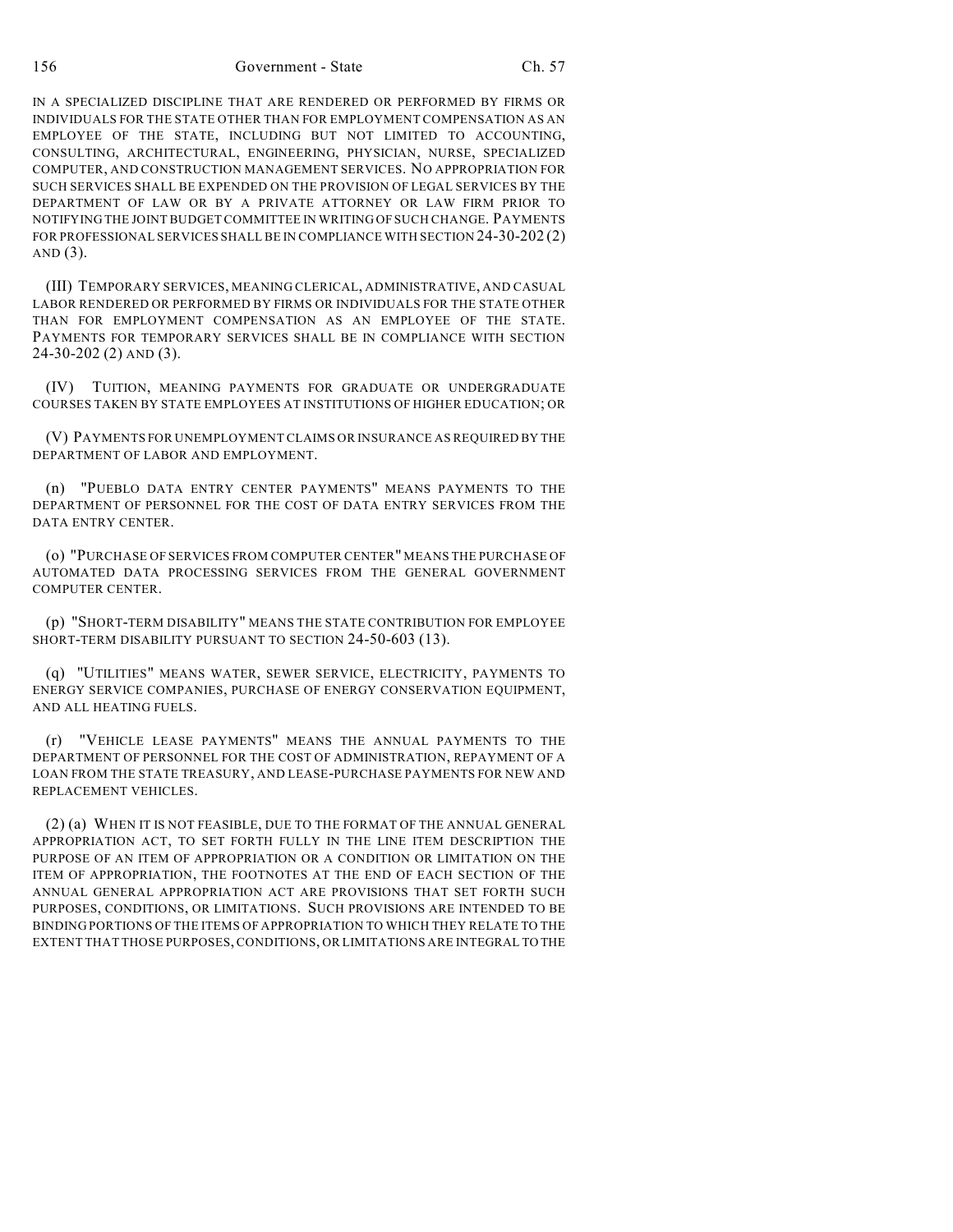156 Government - State Ch. 57

IN A SPECIALIZED DISCIPLINE THAT ARE RENDERED OR PERFORMED BY FIRMS OR INDIVIDUALS FOR THE STATE OTHER THAN FOR EMPLOYMENT COMPENSATION AS AN EMPLOYEE OF THE STATE, INCLUDING BUT NOT LIMITED TO ACCOUNTING, CONSULTING, ARCHITECTURAL, ENGINEERING, PHYSICIAN, NURSE, SPECIALIZED COMPUTER, AND CONSTRUCTION MANAGEMENT SERVICES. NO APPROPRIATION FOR SUCH SERVICES SHALL BE EXPENDED ON THE PROVISION OF LEGAL SERVICES BY THE DEPARTMENT OF LAW OR BY A PRIVATE ATTORNEY OR LAW FIRM PRIOR TO NOTIFYING THE JOINT BUDGET COMMITTEE IN WRITING OF SUCH CHANGE. PAYMENTS FOR PROFESSIONAL SERVICES SHALL BE IN COMPLIANCE WITH SECTION 24-30-202 (2) AND  $(3)$ .

(III) TEMPORARY SERVICES, MEANING CLERICAL, ADMINISTRATIVE, AND CASUAL LABOR RENDERED OR PERFORMED BY FIRMS OR INDIVIDUALS FOR THE STATE OTHER THAN FOR EMPLOYMENT COMPENSATION AS AN EMPLOYEE OF THE STATE. PAYMENTS FOR TEMPORARY SERVICES SHALL BE IN COMPLIANCE WITH SECTION 24-30-202 (2) AND (3).

(IV) TUITION, MEANING PAYMENTS FOR GRADUATE OR UNDERGRADUATE COURSES TAKEN BY STATE EMPLOYEES AT INSTITUTIONS OF HIGHER EDUCATION; OR

(V) PAYMENTS FOR UNEMPLOYMENT CLAIMS OR INSURANCE AS REQUIRED BY THE DEPARTMENT OF LABOR AND EMPLOYMENT.

(n) "PUEBLO DATA ENTRY CENTER PAYMENTS" MEANS PAYMENTS TO THE DEPARTMENT OF PERSONNEL FOR THE COST OF DATA ENTRY SERVICES FROM THE DATA ENTRY CENTER.

(o) "PURCHASE OF SERVICES FROM COMPUTER CENTER" MEANS THE PURCHASE OF AUTOMATED DATA PROCESSING SERVICES FROM THE GENERAL GOVERNMENT COMPUTER CENTER.

(p) "SHORT-TERM DISABILITY" MEANS THE STATE CONTRIBUTION FOR EMPLOYEE SHORT-TERM DISABILITY PURSUANT TO SECTION 24-50-603 (13).

(q) "UTILITIES" MEANS WATER, SEWER SERVICE, ELECTRICITY, PAYMENTS TO ENERGY SERVICE COMPANIES, PURCHASE OF ENERGY CONSERVATION EQUIPMENT, AND ALL HEATING FUELS.

(r) "VEHICLE LEASE PAYMENTS" MEANS THE ANNUAL PAYMENTS TO THE DEPARTMENT OF PERSONNEL FOR THE COST OF ADMINISTRATION, REPAYMENT OF A LOAN FROM THE STATE TREASURY, AND LEASE-PURCHASE PAYMENTS FOR NEW AND REPLACEMENT VEHICLES.

(2) (a) WHEN IT IS NOT FEASIBLE, DUE TO THE FORMAT OF THE ANNUAL GENERAL APPROPRIATION ACT, TO SET FORTH FULLY IN THE LINE ITEM DESCRIPTION THE PURPOSE OF AN ITEM OF APPROPRIATION OR A CONDITION OR LIMITATION ON THE ITEM OF APPROPRIATION, THE FOOTNOTES AT THE END OF EACH SECTION OF THE ANNUAL GENERAL APPROPRIATION ACT ARE PROVISIONS THAT SET FORTH SUCH PURPOSES, CONDITIONS, OR LIMITATIONS. SUCH PROVISIONS ARE INTENDED TO BE BINDING PORTIONS OF THE ITEMS OF APPROPRIATION TO WHICH THEY RELATE TO THE EXTENT THAT THOSE PURPOSES, CONDITIONS, OR LIMITATIONS ARE INTEGRAL TO THE